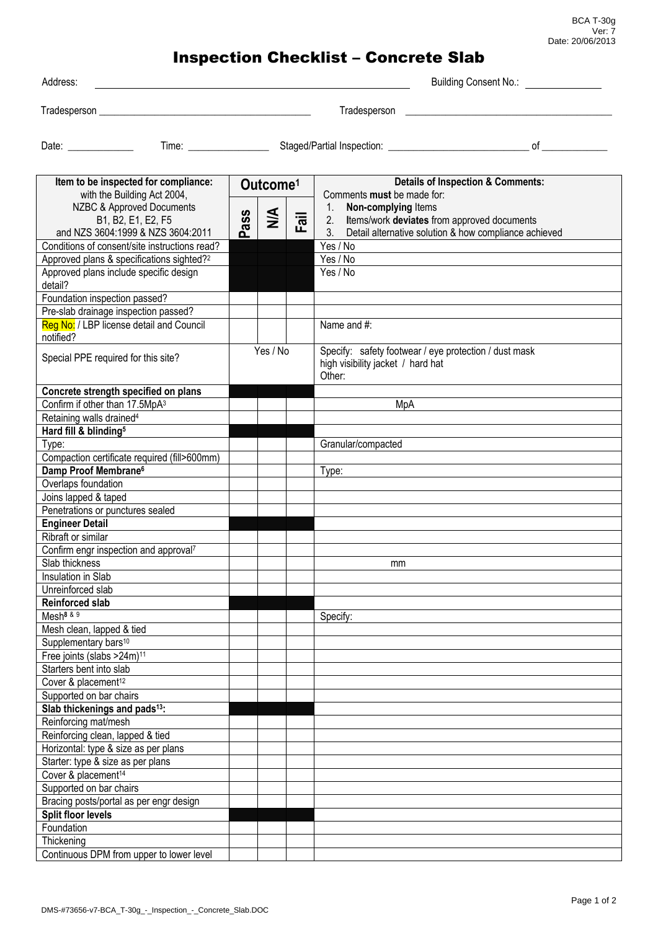BCA T-30g Ver: 7 Date: 20/06/2013

## Inspection Checklist – Concrete Slab

| Address:                                                                                                                                                                                                                                                                                                                                                                                                                                                         |          |                      |                           |                                                                            | Building Consent No.:                                 |  |
|------------------------------------------------------------------------------------------------------------------------------------------------------------------------------------------------------------------------------------------------------------------------------------------------------------------------------------------------------------------------------------------------------------------------------------------------------------------|----------|----------------------|---------------------------|----------------------------------------------------------------------------|-------------------------------------------------------|--|
| Tradesperson                                                                                                                                                                                                                                                                                                                                                                                                                                                     |          |                      |                           | Tradesperson                                                               |                                                       |  |
| Date: the contract of the contract of the contract of the contract of the contract of the contract of the contract of the contract of the contract of the contract of the contract of the contract of the contract of the cont<br>Time: the contract of the contract of the contract of the contract of the contract of the contract of the contract of the contract of the contract of the contract of the contract of the contract of the contract of the cont | οf       |                      |                           |                                                                            |                                                       |  |
| Item to be inspected for compliance:<br>with the Building Act 2004,                                                                                                                                                                                                                                                                                                                                                                                              |          | Outcome <sup>1</sup> |                           | <b>Details of Inspection &amp; Comments:</b><br>Comments must be made for: |                                                       |  |
| NZBC & Approved Documents                                                                                                                                                                                                                                                                                                                                                                                                                                        |          |                      |                           | Non-complying Items                                                        |                                                       |  |
| B1, B2, E1, E2, F5<br>and NZS 3604:1999 & NZS 3604:2011                                                                                                                                                                                                                                                                                                                                                                                                          | ass<br>൨ | $\leq$               | $\overline{\overline{a}}$ | Items/work deviates from approved documents<br>2.<br>$3_{\cdot}$           | Detail alternative solution & how compliance achieved |  |
| Conditions of consent/site instructions read?                                                                                                                                                                                                                                                                                                                                                                                                                    |          |                      |                           | Yes / No                                                                   |                                                       |  |

| and NZS 3604:1999 & NZS 3604:2011                     | ò.       |  | ш. | 3.<br>Detail alternative solution & how compliance achieved |
|-------------------------------------------------------|----------|--|----|-------------------------------------------------------------|
| Conditions of consent/site instructions read?         |          |  |    | Yes / No                                                    |
| Approved plans & specifications sighted? <sup>2</sup> |          |  |    | Yes / No                                                    |
| Approved plans include specific design                |          |  |    | Yes / No                                                    |
| detail?                                               |          |  |    |                                                             |
| Foundation inspection passed?                         |          |  |    |                                                             |
| Pre-slab drainage inspection passed?                  |          |  |    |                                                             |
| Reg No: / LBP license detail and Council              |          |  |    | Name and #:                                                 |
| notified?                                             |          |  |    |                                                             |
|                                                       | Yes / No |  |    | Specify: safety footwear / eye protection / dust mask       |
| Special PPE required for this site?                   |          |  |    | high visibility jacket / hard hat                           |
|                                                       |          |  |    | Other:                                                      |
| Concrete strength specified on plans                  |          |  |    |                                                             |
| Confirm if other than 17.5MpA3                        |          |  |    | MpA                                                         |
| Retaining walls drained <sup>4</sup>                  |          |  |    |                                                             |
| Hard fill & blinding <sup>5</sup>                     |          |  |    |                                                             |
| Type:                                                 |          |  |    | Granular/compacted                                          |
| Compaction certificate required (fill>600mm)          |          |  |    |                                                             |
| Damp Proof Membrane <sup>6</sup>                      |          |  |    | Type:                                                       |
| Overlaps foundation                                   |          |  |    |                                                             |
| Joins lapped & taped                                  |          |  |    |                                                             |
|                                                       |          |  |    |                                                             |
| Penetrations or punctures sealed                      |          |  |    |                                                             |
| <b>Engineer Detail</b>                                |          |  |    |                                                             |
| Ribraft or similar                                    |          |  |    |                                                             |
| Confirm engr inspection and approval7                 |          |  |    |                                                             |
| Slab thickness                                        |          |  |    | mm                                                          |
| Insulation in Slab                                    |          |  |    |                                                             |
| Unreinforced slab                                     |          |  |    |                                                             |
| <b>Reinforced slab</b>                                |          |  |    |                                                             |
| Mesh <sup>8 &amp; 9</sup>                             |          |  |    | Specify:                                                    |
| Mesh clean, lapped & tied                             |          |  |    |                                                             |
| Supplementary bars <sup>10</sup>                      |          |  |    |                                                             |
| Free joints (slabs >24m) <sup>11</sup>                |          |  |    |                                                             |
| Starters bent into slab                               |          |  |    |                                                             |
| Cover & placement <sup>12</sup>                       |          |  |    |                                                             |
| Supported on bar chairs                               |          |  |    |                                                             |
| Slab thickenings and pads <sup>13</sup> :             |          |  |    |                                                             |
| Reinforcing mat/mesh                                  |          |  |    |                                                             |
| Reinforcing clean, lapped & tied                      |          |  |    |                                                             |
| Horizontal: type & size as per plans                  |          |  |    |                                                             |
| Starter: type & size as per plans                     |          |  |    |                                                             |
| Cover & placement <sup>14</sup>                       |          |  |    |                                                             |
| Supported on bar chairs                               |          |  |    |                                                             |
| Bracing posts/portal as per engr design               |          |  |    |                                                             |
| Split floor levels                                    |          |  |    |                                                             |
| Foundation                                            |          |  |    |                                                             |
| Thickening                                            |          |  |    |                                                             |
| Continuous DPM from upper to lower level              |          |  |    |                                                             |